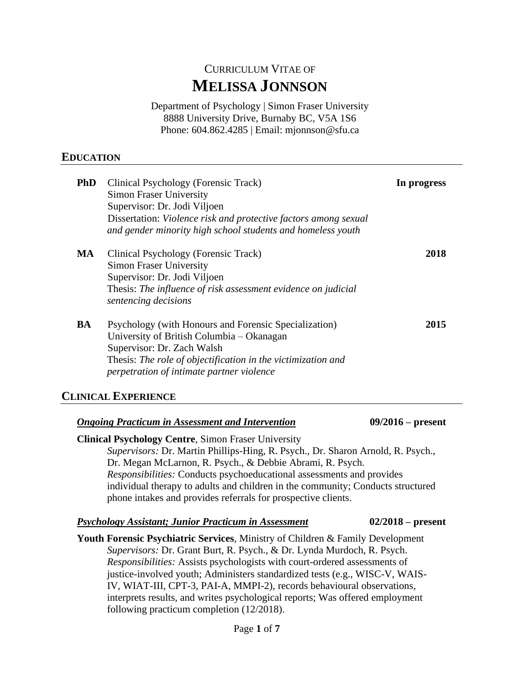# CURRICULUM VITAE OF **MELISSA JONNSON**

Department of Psychology | Simon Fraser University 8888 University Drive, Burnaby BC, V5A 1S6 Phone: 604.862.4285 | Email: mjonnson@sfu.ca

## **EDUCATION**

| <b>PhD</b> | Clinical Psychology (Forensic Track)<br><b>Simon Fraser University</b><br>Supervisor: Dr. Jodi Viljoen<br>Dissertation: Violence risk and protective factors among sexual<br>and gender minority high school students and homeless youth      | In progress |
|------------|-----------------------------------------------------------------------------------------------------------------------------------------------------------------------------------------------------------------------------------------------|-------------|
| MA         | Clinical Psychology (Forensic Track)<br><b>Simon Fraser University</b><br>Supervisor: Dr. Jodi Viljoen<br>Thesis: The influence of risk assessment evidence on judicial<br>sentencing decisions                                               | 2018        |
| BA         | Psychology (with Honours and Forensic Specialization)<br>University of British Columbia – Okanagan<br>Supervisor: Dr. Zach Walsh<br>Thesis: The role of objectification in the victimization and<br>perpetration of intimate partner violence | 2015        |

### **CLINICAL EXPERIENCE**

| <b>Ongoing Practicum in Assessment and Intervention</b>                                   | $09/2016$ – present |  |  |  |
|-------------------------------------------------------------------------------------------|---------------------|--|--|--|
| <b>Clinical Psychology Centre, Simon Fraser University</b>                                |                     |  |  |  |
| Supervisors: Dr. Martin Phillips-Hing, R. Psych., Dr. Sharon Arnold, R. Psych.,           |                     |  |  |  |
| Dr. Megan McLarnon, R. Psych., & Debbie Abrami, R. Psych.                                 |                     |  |  |  |
| Responsibilities: Conducts psychoeducational assessments and provides                     |                     |  |  |  |
| individual therapy to adults and children in the community; Conducts structured           |                     |  |  |  |
| phone intakes and provides referrals for prospective clients.                             |                     |  |  |  |
| <b>Psychology Assistant; Junior Practicum in Assessment</b>                               | $02/2018$ – present |  |  |  |
| <b>Youth Forensic Psychiatric Services, Ministry of Children &amp; Family Development</b> |                     |  |  |  |
| Supervisors: Dr. Grant Burt, R. Psych., & Dr. Lynda Murdoch, R. Psych.                    |                     |  |  |  |
| <i>Responsibilities:</i> Assists psychologists with court-ordered assessments of          |                     |  |  |  |
| justice-involved youth; Administers standardized tests (e.g., WISC-V, WAIS-               |                     |  |  |  |
| $WU$ WIAT III CDT 2 DAI A MMDI 2) records behavioural observations                        |                     |  |  |  |

IV, WIAT-III, CPT-3, PAI-A, MMPI-2), records behavioural observations, interprets results, and writes psychological reports; Was offered employment following practicum completion (12/2018).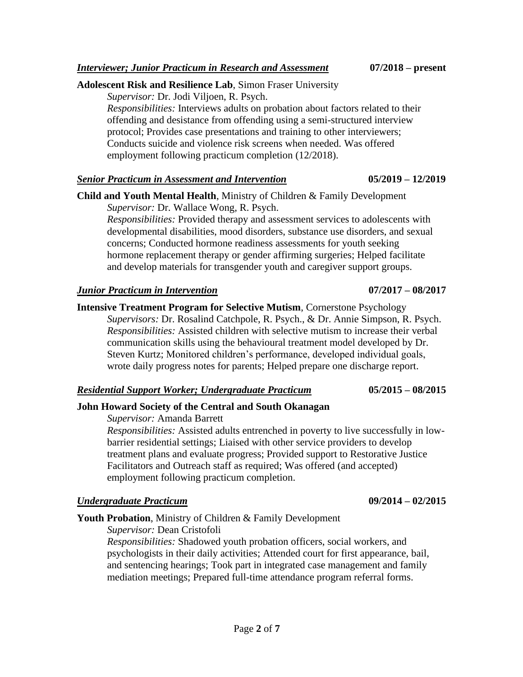### **Adolescent Risk and Resilience Lab**, Simon Fraser University

*Supervisor:* Dr. Jodi Viljoen, R. Psych.

*Responsibilities:* Interviews adults on probation about factors related to their offending and desistance from offending using a semi-structured interview protocol; Provides case presentations and training to other interviewers; Conducts suicide and violence risk screens when needed. Was offered employment following practicum completion (12/2018).

### *Senior Practicum in Assessment and Intervention* **05/2019 – 12/2019**

**Child and Youth Mental Health**, Ministry of Children & Family Development *Supervisor:* Dr. Wallace Wong, R. Psych.

*Responsibilities:* Provided therapy and assessment services to adolescents with developmental disabilities, mood disorders, substance use disorders, and sexual concerns; Conducted hormone readiness assessments for youth seeking hormone replacement therapy or gender affirming surgeries; Helped facilitate and develop materials for transgender youth and caregiver support groups.

#### *Junior Practicum in Intervention* **07/2017 – 08/2017**

**Intensive Treatment Program for Selective Mutism**, Cornerstone Psychology *Supervisors:* Dr. Rosalind Catchpole, R. Psych., & Dr. Annie Simpson, R. Psych. *Responsibilities:* Assisted children with selective mutism to increase their verbal communication skills using the behavioural treatment model developed by Dr. Steven Kurtz; Monitored children's performance, developed individual goals, wrote daily progress notes for parents; Helped prepare one discharge report.

#### *Residential Support Worker; Undergraduate Practicum* **05/2015 – 08/2015**

## **John Howard Society of the Central and South Okanagan**

*Supervisor:* Amanda Barrett

*Responsibilities:* Assisted adults entrenched in poverty to live successfully in lowbarrier residential settings; Liaised with other service providers to develop treatment plans and evaluate progress; Provided support to Restorative Justice Facilitators and Outreach staff as required; Was offered (and accepted) employment following practicum completion.

## *Undergraduate Practicum* **09/2014 – 02/2015**

## **Youth Probation**, Ministry of Children & Family Development

*Supervisor:* Dean Cristofoli

*Responsibilities:* Shadowed youth probation officers, social workers, and psychologists in their daily activities; Attended court for first appearance, bail, and sentencing hearings; Took part in integrated case management and family mediation meetings; Prepared full-time attendance program referral forms.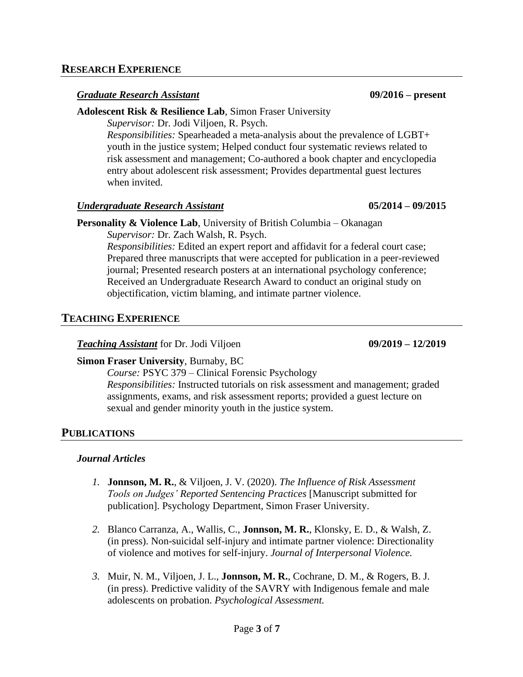#### *Graduate Research Assistant* **09/2016 – present**

#### **Adolescent Risk & Resilience Lab**, Simon Fraser University

*Supervisor:* Dr. Jodi Viljoen, R. Psych.

*Responsibilities:* Spearheaded a meta-analysis about the prevalence of LGBT+ youth in the justice system; Helped conduct four systematic reviews related to risk assessment and management; Co-authored a book chapter and encyclopedia entry about adolescent risk assessment; Provides departmental guest lectures when invited.

#### *Undergraduate Research Assistant* **05/2014 – 09/2015**

## **Personality & Violence Lab**, University of British Columbia – Okanagan *Supervisor:* Dr. Zach Walsh, R. Psych.

*Responsibilities:* Edited an expert report and affidavit for a federal court case; Prepared three manuscripts that were accepted for publication in a peer-reviewed journal; Presented research posters at an international psychology conference; Received an Undergraduate Research Award to conduct an original study on objectification, victim blaming, and intimate partner violence.

## **TEACHING EXPERIENCE**

## *Teaching Assistant* for Dr. Jodi Viljoen **09/2019 – 12/2019**

## **Simon Fraser University**, Burnaby, BC

*Course:* PSYC 379 – Clinical Forensic Psychology *Responsibilities:* Instructed tutorials on risk assessment and management; graded assignments, exams, and risk assessment reports; provided a guest lecture on sexual and gender minority youth in the justice system.

## **PUBLICATIONS**

## *Journal Articles*

- *1.* **Jonnson, M. R.**, & Viljoen, J. V. (2020). *The Influence of Risk Assessment Tools on Judges' Reported Sentencing Practices* [Manuscript submitted for publication]. Psychology Department, Simon Fraser University.
- *2.* Blanco Carranza, A., Wallis, C., **Jonnson, M. R.**, Klonsky, E. D., & Walsh, Z. (in press). Non-suicidal self-injury and intimate partner violence: Directionality of violence and motives for self-injury. *Journal of Interpersonal Violence.*
- *3.* Muir, N. M., Viljoen, J. L., **Jonnson, M. R.**, Cochrane, D. M., & Rogers, B. J. (in press). Predictive validity of the SAVRY with Indigenous female and male adolescents on probation. *Psychological Assessment.*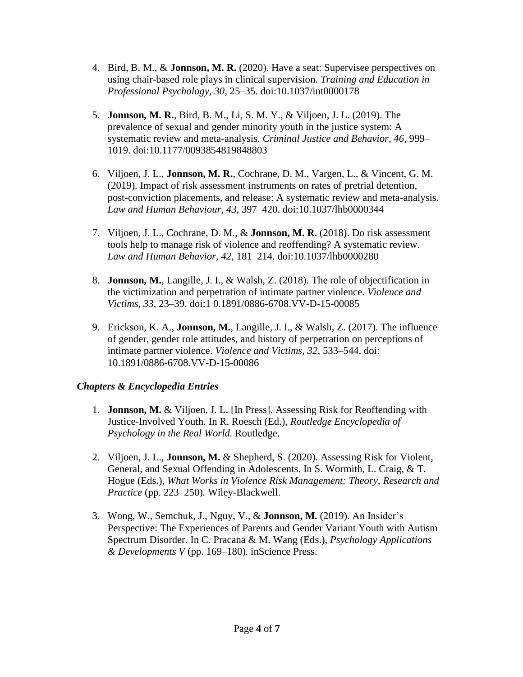- 4. Bird, B. M., & **Jonnson, M. R.** (2020). Have a seat: Supervisee perspectives on using chair-based role plays in clinical supervision. *Training and Education in Professional Psychology, 30*, 25–35. doi:10.1037/int0000178
- 5. **Jonnson, M. R.**, Bird, B. M., Li, S. M. Y., & Viljoen, J. L. (2019). The prevalence of sexual and gender minority youth in the justice system: A systematic review and meta-analysis. *Criminal Justice and Behavior, 46*, 999– 1019. doi:10.1177/0093854819848803
- 6. Viljoen, J. L., **Jonnson, M. R.**, Cochrane, D. M., Vargen, L., & Vincent, G. M. (2019). Impact of risk assessment instruments on rates of pretrial detention, post-conviction placements, and release: A systematic review and meta-analysis. *Law and Human Behaviour, 43*, 397–420. doi:10.1037/lhb0000344
- 7. Viljoen, J. L., Cochrane, D. M., & **Jonnson, M. R.** (2018). Do risk assessment tools help to manage risk of violence and reoffending? A systematic review. *Law and Human Behavior, 42*, 181–214. doi:10.1037/lhb0000280
- 8. **Jonnson, M.**, Langille, J. I., & Walsh, Z. (2018). The role of objectification in the victimization and perpetration of intimate partner violence. *Violence and Victims, 33*, 23–39. doi:1 0.1891/0886-6708.VV-D-15-00085
- 9. Erickson, K. A., **Jonnson, M.**, Langille, J. I., & Walsh, Z. (2017). The influence of gender, gender role attitudes, and history of perpetration on perceptions of intimate partner violence. *Violence and Victims, 32*, 533–544. doi: 10.1891/0886-6708.VV-D-15-00086

## *Chapters & Encyclopedia Entries*

- 1. **Jonnson, M.** & Viljoen, J. L. [In Press]. Assessing Risk for Reoffending with Justice-Involved Youth. In R. Roesch (Ed.), *Routledge Encyclopedia of Psychology in the Real World.* Routledge.
- 2. Viljoen, J. L., **Jonnson, M.** & Shepherd, S. (2020). Assessing Risk for Violent, General, and Sexual Offending in Adolescents. In S. Wormith, L. Craig, & T. Hogue (Eds.), *What Works in Violence Risk Management: Theory, Research and Practice* (pp. 223–250)*.* Wiley-Blackwell.
- 3. Wong, W., Semchuk, J., Nguy, V., & **Jonnson, M.** (2019). An Insider's Perspective: The Experiences of Parents and Gender Variant Youth with Autism Spectrum Disorder. In C. Pracana & M. Wang (Eds.), *Psychology Applications & Developments V* (pp. 169–180)*.* inScience Press.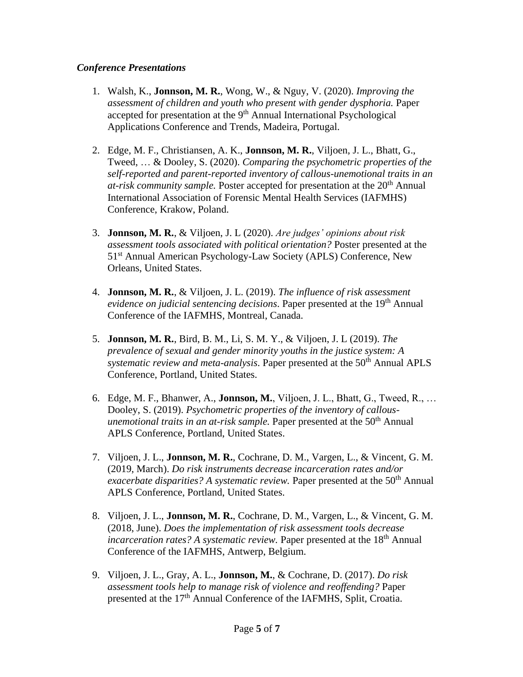### *Conference Presentations*

- 1. Walsh, K., **Jonnson, M. R.**, Wong, W., & Nguy, V. (2020). *Improving the assessment of children and youth who present with gender dysphoria.* Paper accepted for presentation at the 9<sup>th</sup> Annual International Psychological Applications Conference and Trends, Madeira, Portugal.
- 2. Edge, M. F., Christiansen, A. K., **Jonnson, M. R.**, Viljoen, J. L., Bhatt, G., Tweed, … & Dooley, S. (2020). *Comparing the psychometric properties of the self-reported and parent-reported inventory of callous-unemotional traits in an at-risk community sample.* Poster accepted for presentation at the 20th Annual International Association of Forensic Mental Health Services (IAFMHS) Conference, Krakow, Poland.
- 3. **Jonnson, M. R.**, & Viljoen, J. L (2020). *Are judges' opinions about risk assessment tools associated with political orientation?* Poster presented at the 51<sup>st</sup> Annual American Psychology-Law Society (APLS) Conference, New Orleans, United States.
- 4. **Jonnson, M. R.**, & Viljoen, J. L. (2019). *The influence of risk assessment evidence on judicial sentencing decisions*. Paper presented at the 19<sup>th</sup> Annual Conference of the IAFMHS, Montreal, Canada.
- 5. **Jonnson, M. R.**, Bird, B. M., Li, S. M. Y., & Viljoen, J. L (2019). *The prevalence of sexual and gender minority youths in the justice system: A systematic review and meta-analysis.* Paper presented at the 50<sup>th</sup> Annual APLS Conference, Portland, United States.
- 6. Edge, M. F., Bhanwer, A., **Jonnson, M.**, Viljoen, J. L., Bhatt, G., Tweed, R., … Dooley, S. (2019). *Psychometric properties of the inventory of callousunemotional traits in an at-risk sample.* Paper presented at the 50<sup>th</sup> Annual APLS Conference, Portland, United States.
- 7. Viljoen, J. L., **Jonnson, M. R.**, Cochrane, D. M., Vargen, L., & Vincent, G. M. (2019, March). *Do risk instruments decrease incarceration rates and/or exacerbate disparities? A systematic review.* Paper presented at the 50<sup>th</sup> Annual APLS Conference, Portland, United States.
- 8. Viljoen, J. L., **Jonnson, M. R.**, Cochrane, D. M., Vargen, L., & Vincent, G. M. (2018, June). *Does the implementation of risk assessment tools decrease incarceration rates? A systematic review.* Paper presented at the 18<sup>th</sup> Annual Conference of the IAFMHS, Antwerp, Belgium.
- 9. Viljoen, J. L., Gray, A. L., **Jonnson, M.**, & Cochrane, D. (2017). *Do risk assessment tools help to manage risk of violence and reoffending?* Paper presented at the 17<sup>th</sup> Annual Conference of the IAFMHS, Split, Croatia.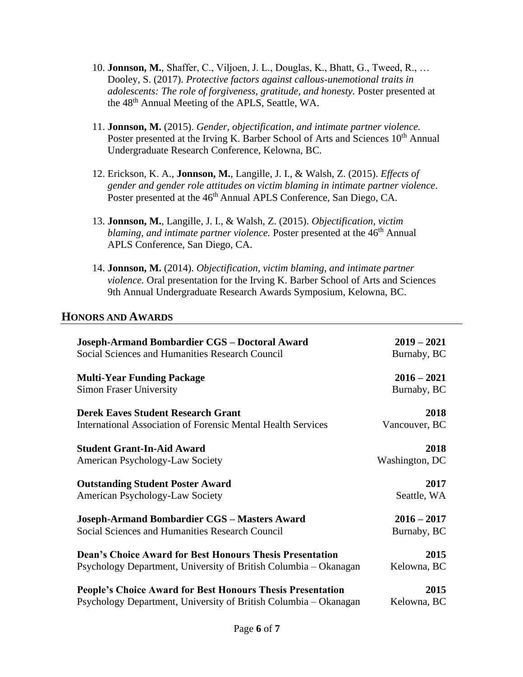- 10. **Jonnson, M.**, Shaffer, C., Viljoen, J. L., Douglas, K., Bhatt, G., Tweed, R., … Dooley, S. (2017). *Protective factors against callous-unemotional traits in adolescents: The role of forgiveness, gratitude, and honesty.* Poster presented at the 48th Annual Meeting of the APLS, Seattle, WA.
- 11. **Jonnson, M.** (2015). *Gender, objectification, and intimate partner violence.* Poster presented at the Irving K. Barber School of Arts and Sciences 10<sup>th</sup> Annual Undergraduate Research Conference, Kelowna, BC.
- 12. Erickson, K. A., **Jonnson, M.**, Langille, J. I., & Walsh, Z. (2015). *Effects of gender and gender role attitudes on victim blaming in intimate partner violence*. Poster presented at the 46<sup>th</sup> Annual APLS Conference, San Diego, CA.
- 13. **Jonnson, M.**, Langille, J. I., & Walsh, Z. (2015). *Objectification, victim blaming, and intimate partner violence*. Poster presented at the 46<sup>th</sup> Annual APLS Conference, San Diego, CA.
- 14. **Jonnson, M.** (2014). *Objectification, victim blaming, and intimate partner violence.* Oral presentation for the Irving K. Barber School of Arts and Sciences 9th Annual Undergraduate Research Awards Symposium, Kelowna, BC.

## **HONORS AND AWARDS**

| Joseph-Armand Bombardier CGS - Doctoral Award                       | $2019 - 2021$  |
|---------------------------------------------------------------------|----------------|
| Social Sciences and Humanities Research Council                     | Burnaby, BC    |
| <b>Multi-Year Funding Package</b>                                   | $2016 - 2021$  |
| <b>Simon Fraser University</b>                                      | Burnaby, BC    |
| <b>Derek Eaves Student Research Grant</b>                           | 2018           |
| <b>International Association of Forensic Mental Health Services</b> | Vancouver, BC  |
| <b>Student Grant-In-Aid Award</b>                                   | 2018           |
| American Psychology-Law Society                                     | Washington, DC |
| <b>Outstanding Student Poster Award</b>                             | 2017           |
| American Psychology-Law Society                                     | Seattle, WA    |
| Joseph-Armand Bombardier CGS - Masters Award                        | $2016 - 2017$  |
| Social Sciences and Humanities Research Council                     | Burnaby, BC    |
| <b>Dean's Choice Award for Best Honours Thesis Presentation</b>     | 2015           |
| Psychology Department, University of British Columbia – Okanagan    | Kelowna, BC    |
| <b>People's Choice Award for Best Honours Thesis Presentation</b>   | 2015           |
| Psychology Department, University of British Columbia – Okanagan    | Kelowna, BC    |